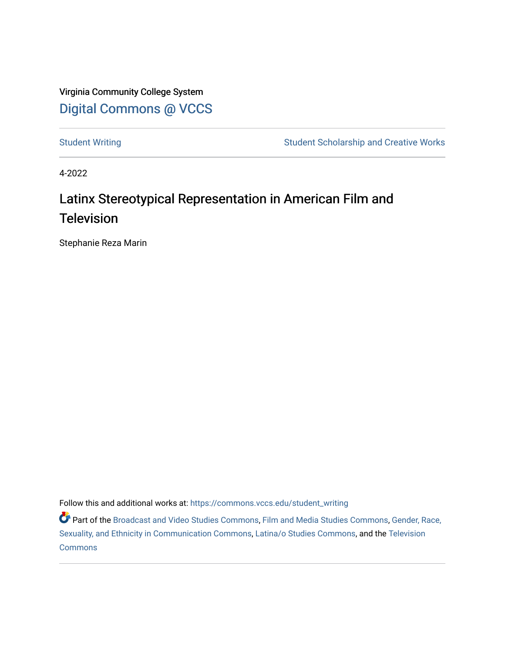Virginia Community College System [Digital Commons @ VCCS](https://commons.vccs.edu/)

[Student Writing](https://commons.vccs.edu/student_writing) Student Scholarship and Creative Works

4-2022

## Latinx Stereotypical Representation in American Film and **Television**

Stephanie Reza Marin

Follow this and additional works at: [https://commons.vccs.edu/student\\_writing](https://commons.vccs.edu/student_writing?utm_source=commons.vccs.edu%2Fstudent_writing%2F53&utm_medium=PDF&utm_campaign=PDFCoverPages) 

Part of the [Broadcast and Video Studies Commons,](http://network.bepress.com/hgg/discipline/326?utm_source=commons.vccs.edu%2Fstudent_writing%2F53&utm_medium=PDF&utm_campaign=PDFCoverPages) [Film and Media Studies Commons,](http://network.bepress.com/hgg/discipline/563?utm_source=commons.vccs.edu%2Fstudent_writing%2F53&utm_medium=PDF&utm_campaign=PDFCoverPages) [Gender, Race,](http://network.bepress.com/hgg/discipline/329?utm_source=commons.vccs.edu%2Fstudent_writing%2F53&utm_medium=PDF&utm_campaign=PDFCoverPages) [Sexuality, and Ethnicity in Communication Commons](http://network.bepress.com/hgg/discipline/329?utm_source=commons.vccs.edu%2Fstudent_writing%2F53&utm_medium=PDF&utm_campaign=PDFCoverPages), [Latina/o Studies Commons](http://network.bepress.com/hgg/discipline/1315?utm_source=commons.vccs.edu%2Fstudent_writing%2F53&utm_medium=PDF&utm_campaign=PDFCoverPages), and the [Television](http://network.bepress.com/hgg/discipline/1143?utm_source=commons.vccs.edu%2Fstudent_writing%2F53&utm_medium=PDF&utm_campaign=PDFCoverPages)  [Commons](http://network.bepress.com/hgg/discipline/1143?utm_source=commons.vccs.edu%2Fstudent_writing%2F53&utm_medium=PDF&utm_campaign=PDFCoverPages)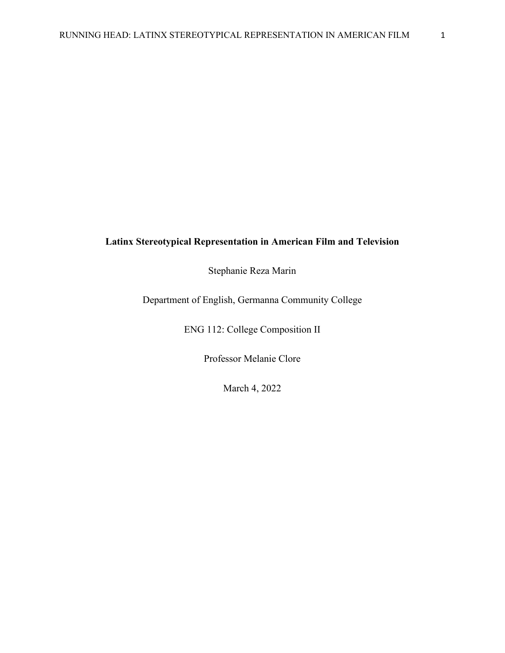## **Latinx Stereotypical Representation in American Film and Television**

Stephanie Reza Marin

Department of English, Germanna Community College

ENG 112: College Composition II

Professor Melanie Clore

March 4, 2022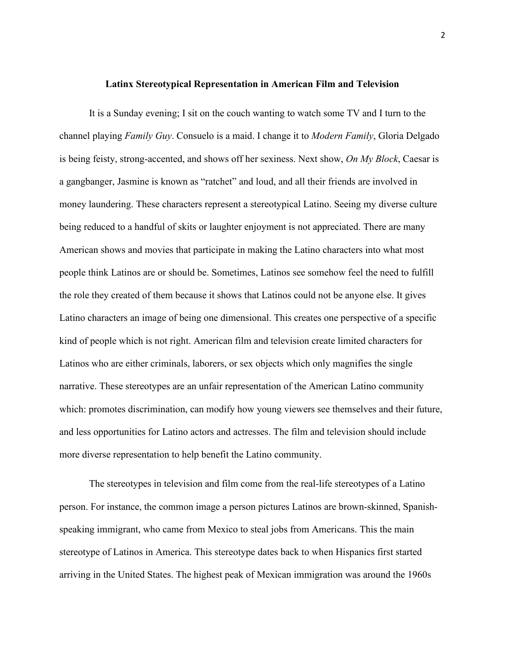## **Latinx Stereotypical Representation in American Film and Television**

It is a Sunday evening; I sit on the couch wanting to watch some TV and I turn to the channel playing *Family Guy*. Consuelo is a maid. I change it to *Modern Family*, Gloria Delgado is being feisty, strong-accented, and shows off her sexiness. Next show, *On My Block*, Caesar is a gangbanger, Jasmine is known as "ratchet" and loud, and all their friends are involved in money laundering. These characters represent a stereotypical Latino. Seeing my diverse culture being reduced to a handful of skits or laughter enjoyment is not appreciated. There are many American shows and movies that participate in making the Latino characters into what most people think Latinos are or should be. Sometimes, Latinos see somehow feel the need to fulfill the role they created of them because it shows that Latinos could not be anyone else. It gives Latino characters an image of being one dimensional. This creates one perspective of a specific kind of people which is not right. American film and television create limited characters for Latinos who are either criminals, laborers, or sex objects which only magnifies the single narrative. These stereotypes are an unfair representation of the American Latino community which: promotes discrimination, can modify how young viewers see themselves and their future, and less opportunities for Latino actors and actresses. The film and television should include more diverse representation to help benefit the Latino community.

The stereotypes in television and film come from the real-life stereotypes of a Latino person. For instance, the common image a person pictures Latinos are brown-skinned, Spanishspeaking immigrant, who came from Mexico to steal jobs from Americans. This the main stereotype of Latinos in America. This stereotype dates back to when Hispanics first started arriving in the United States. The highest peak of Mexican immigration was around the 1960s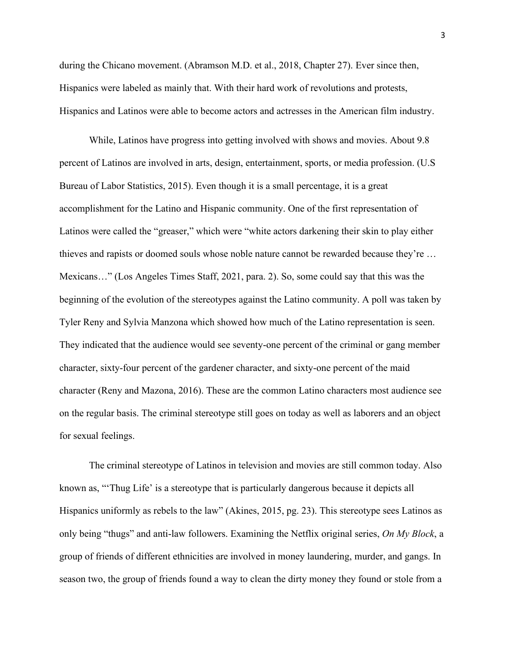during the Chicano movement. (Abramson M.D. et al., 2018, Chapter 27). Ever since then, Hispanics were labeled as mainly that. With their hard work of revolutions and protests, Hispanics and Latinos were able to become actors and actresses in the American film industry.

While, Latinos have progress into getting involved with shows and movies. About 9.8 percent of Latinos are involved in arts, design, entertainment, sports, or media profession. (U.S Bureau of Labor Statistics, 2015). Even though it is a small percentage, it is a great accomplishment for the Latino and Hispanic community. One of the first representation of Latinos were called the "greaser," which were "white actors darkening their skin to play either thieves and rapists or doomed souls whose noble nature cannot be rewarded because they're … Mexicans…" (Los Angeles Times Staff, 2021, para. 2). So, some could say that this was the beginning of the evolution of the stereotypes against the Latino community. A poll was taken by Tyler Reny and Sylvia Manzona which showed how much of the Latino representation is seen. They indicated that the audience would see seventy-one percent of the criminal or gang member character, sixty-four percent of the gardener character, and sixty-one percent of the maid character (Reny and Mazona, 2016). These are the common Latino characters most audience see on the regular basis. The criminal stereotype still goes on today as well as laborers and an object for sexual feelings.

The criminal stereotype of Latinos in television and movies are still common today. Also known as, "'Thug Life' is a stereotype that is particularly dangerous because it depicts all Hispanics uniformly as rebels to the law" (Akines, 2015, pg. 23). This stereotype sees Latinos as only being "thugs" and anti-law followers. Examining the Netflix original series, *On My Block*, a group of friends of different ethnicities are involved in money laundering, murder, and gangs. In season two, the group of friends found a way to clean the dirty money they found or stole from a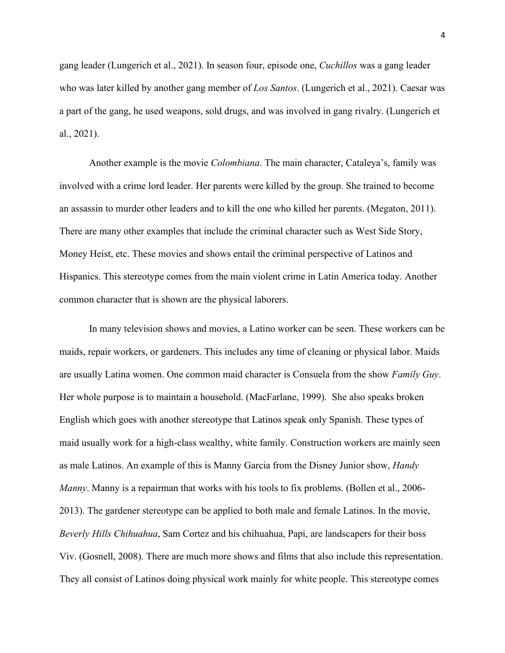gang leader (Lungerich et al., 2021). In season four, episode one, *Cuchillos* was a gang leader who was later killed by another gang member of *Los Santos*. (Lungerich et al., 2021). Caesar was a part of the gang, he used weapons, sold drugs, and was involved in gang rivalry. (Lungerich et al., 2021).

Another example is the movie *Colombiana*. The main character, Cataleya's, family was involved with a crime lord leader. Her parents were killed by the group. She trained to become an assassin to murder other leaders and to kill the one who killed her parents. (Megaton, 2011). There are many other examples that include the criminal character such as West Side Story, Money Heist, etc. These movies and shows entail the criminal perspective of Latinos and Hispanics. This stereotype comes from the main violent crime in Latin America today. Another common character that is shown are the physical laborers.

In many television shows and movies, a Latino worker can be seen. These workers can be maids, repair workers, or gardeners. This includes any time of cleaning or physical labor. Maids are usually Latina women. One common maid character is Consuela from the show *Family Guy*. Her whole purpose is to maintain a household. (MacFarlane, 1999). She also speaks broken English which goes with another stereotype that Latinos speak only Spanish. These types of maid usually work for a high-class wealthy, white family. Construction workers are mainly seen as male Latinos. An example of this is Manny Garcia from the Disney Junior show, *Handy Manny*. Manny is a repairman that works with his tools to fix problems. (Bollen et al., 2006- 2013). The gardener stereotype can be applied to both male and female Latinos. In the movie, *Beverly Hills Chihuahua*, Sam Cortez and his chihuahua, Papi, are landscapers for their boss Viv. (Gosnell, 2008). There are much more shows and films that also include this representation. They all consist of Latinos doing physical work mainly for white people. This stereotype comes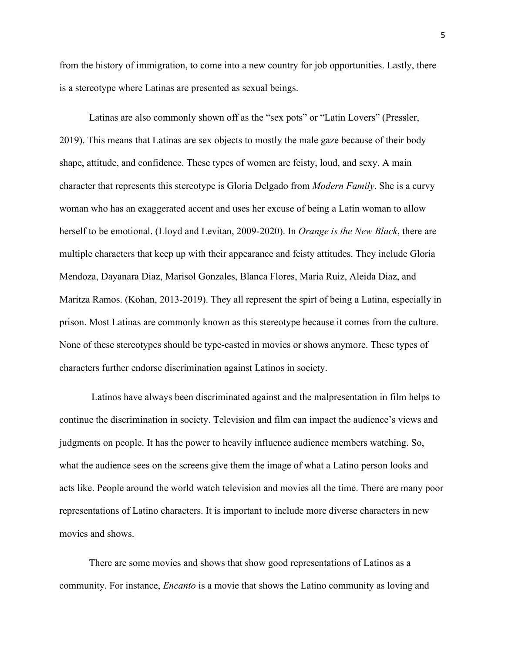from the history of immigration, to come into a new country for job opportunities. Lastly, there is a stereotype where Latinas are presented as sexual beings.

Latinas are also commonly shown off as the "sex pots" or "Latin Lovers" (Pressler, 2019). This means that Latinas are sex objects to mostly the male gaze because of their body shape, attitude, and confidence. These types of women are feisty, loud, and sexy. A main character that represents this stereotype is Gloria Delgado from *Modern Family*. She is a curvy woman who has an exaggerated accent and uses her excuse of being a Latin woman to allow herself to be emotional. (Lloyd and Levitan, 2009-2020). In *Orange is the New Black*, there are multiple characters that keep up with their appearance and feisty attitudes. They include Gloria Mendoza, Dayanara Diaz, Marisol Gonzales, Blanca Flores, Maria Ruiz, Aleida Diaz, and Maritza Ramos. (Kohan, 2013-2019). They all represent the spirt of being a Latina, especially in prison. Most Latinas are commonly known as this stereotype because it comes from the culture. None of these stereotypes should be type-casted in movies or shows anymore. These types of characters further endorse discrimination against Latinos in society.

Latinos have always been discriminated against and the malpresentation in film helps to continue the discrimination in society. Television and film can impact the audience's views and judgments on people. It has the power to heavily influence audience members watching. So, what the audience sees on the screens give them the image of what a Latino person looks and acts like. People around the world watch television and movies all the time. There are many poor representations of Latino characters. It is important to include more diverse characters in new movies and shows.

There are some movies and shows that show good representations of Latinos as a community. For instance, *Encanto* is a movie that shows the Latino community as loving and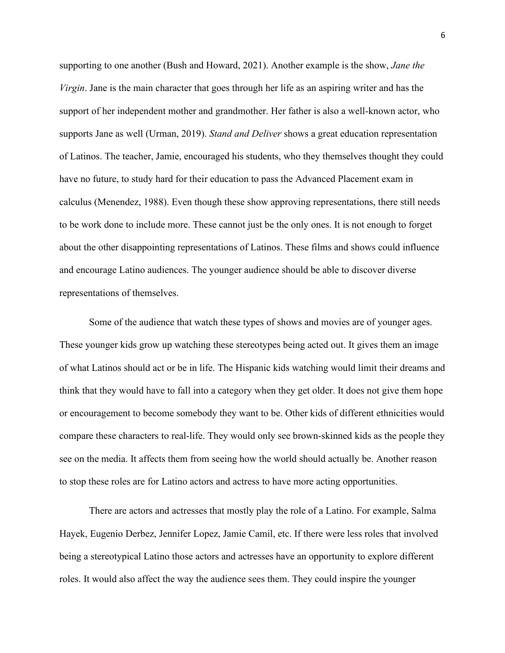supporting to one another (Bush and Howard, 2021). Another example is the show, *Jane the Virgin*. Jane is the main character that goes through her life as an aspiring writer and has the support of her independent mother and grandmother. Her father is also a well-known actor, who supports Jane as well (Urman, 2019). *Stand and Deliver* shows a great education representation of Latinos. The teacher, Jamie, encouraged his students, who they themselves thought they could have no future, to study hard for their education to pass the Advanced Placement exam in calculus (Menendez, 1988). Even though these show approving representations, there still needs to be work done to include more. These cannot just be the only ones. It is not enough to forget about the other disappointing representations of Latinos. These films and shows could influence and encourage Latino audiences. The younger audience should be able to discover diverse representations of themselves.

Some of the audience that watch these types of shows and movies are of younger ages. These younger kids grow up watching these stereotypes being acted out. It gives them an image of what Latinos should act or be in life. The Hispanic kids watching would limit their dreams and think that they would have to fall into a category when they get older. It does not give them hope or encouragement to become somebody they want to be. Other kids of different ethnicities would compare these characters to real-life. They would only see brown-skinned kids as the people they see on the media. It affects them from seeing how the world should actually be. Another reason to stop these roles are for Latino actors and actress to have more acting opportunities.

There are actors and actresses that mostly play the role of a Latino. For example, Salma Hayek, Eugenio Derbez, Jennifer Lopez, Jamie Camil, etc. If there were less roles that involved being a stereotypical Latino those actors and actresses have an opportunity to explore different roles. It would also affect the way the audience sees them. They could inspire the younger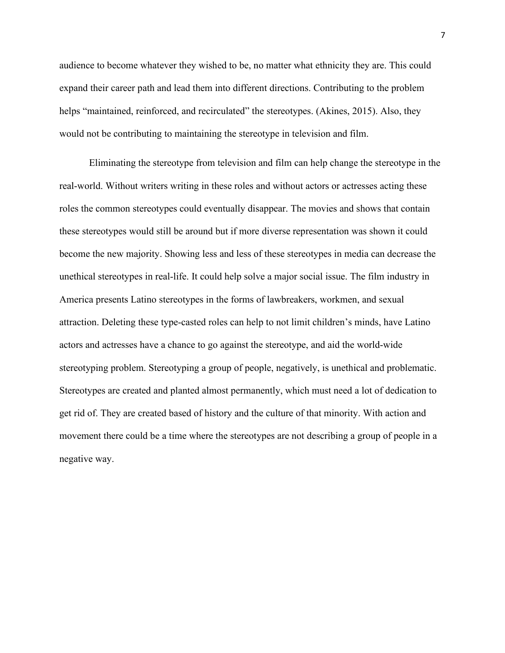audience to become whatever they wished to be, no matter what ethnicity they are. This could expand their career path and lead them into different directions. Contributing to the problem helps "maintained, reinforced, and recirculated" the stereotypes. (Akines, 2015). Also, they would not be contributing to maintaining the stereotype in television and film.

Eliminating the stereotype from television and film can help change the stereotype in the real-world. Without writers writing in these roles and without actors or actresses acting these roles the common stereotypes could eventually disappear. The movies and shows that contain these stereotypes would still be around but if more diverse representation was shown it could become the new majority. Showing less and less of these stereotypes in media can decrease the unethical stereotypes in real-life. It could help solve a major social issue. The film industry in America presents Latino stereotypes in the forms of lawbreakers, workmen, and sexual attraction. Deleting these type-casted roles can help to not limit children's minds, have Latino actors and actresses have a chance to go against the stereotype, and aid the world-wide stereotyping problem. Stereotyping a group of people, negatively, is unethical and problematic. Stereotypes are created and planted almost permanently, which must need a lot of dedication to get rid of. They are created based of history and the culture of that minority. With action and movement there could be a time where the stereotypes are not describing a group of people in a negative way.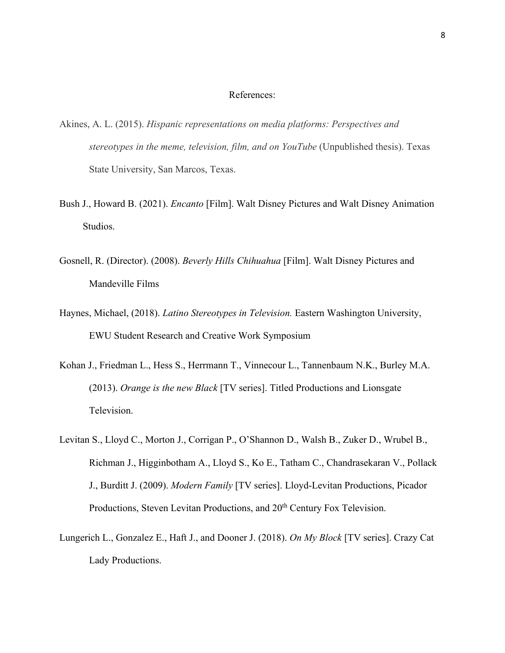## References:

- Akines, A. L. (2015). *Hispanic representations on media platforms: Perspectives and stereotypes in the meme, television, film, and on YouTube* (Unpublished thesis). Texas State University, San Marcos, Texas.
- Bush J., Howard B. (2021). *Encanto* [Film]. Walt Disney Pictures and Walt Disney Animation Studios.
- Gosnell, R. (Director). (2008). *Beverly Hills Chihuahua* [Film]. Walt Disney Pictures and Mandeville Films
- Haynes, Michael, (2018). *Latino Stereotypes in Television.* Eastern Washington University, EWU Student Research and Creative Work Symposium
- Kohan J., Friedman L., Hess S., Herrmann T., Vinnecour L., Tannenbaum N.K., Burley M.A. (2013). *Orange is the new Black* [TV series]. Titled Productions and Lionsgate Television.
- Levitan S., Lloyd C., Morton J., Corrigan P., O'Shannon D., Walsh B., Zuker D., Wrubel B., Richman J., Higginbotham A., Lloyd S., Ko E., Tatham C., Chandrasekaran V., Pollack J., Burditt J. (2009). *Modern Family* [TV series]. Lloyd-Levitan Productions, Picador Productions, Steven Levitan Productions, and 20<sup>th</sup> Century Fox Television.
- Lungerich L., Gonzalez E., Haft J., and Dooner J. (2018). *On My Block* [TV series]. Crazy Cat Lady Productions.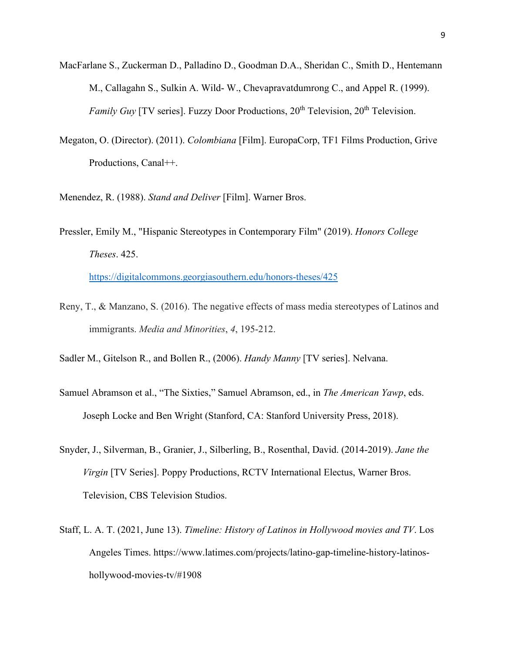- MacFarlane S., Zuckerman D., Palladino D., Goodman D.A., Sheridan C., Smith D., Hentemann M., Callagahn S., Sulkin A. Wild- W., Chevapravatdumrong C., and Appel R. (1999). *Family Guy* [TV series]. Fuzzy Door Productions, 20<sup>th</sup> Television, 20<sup>th</sup> Television.
- Megaton, O. (Director). (2011). *Colombiana* [Film]. EuropaCorp, TF1 Films Production, Grive Productions, Canal++.

Menendez, R. (1988). *Stand and Deliver* [Film]. Warner Bros.

- Pressler, Emily M., "Hispanic Stereotypes in Contemporary Film" (2019). *Honors College Theses*. 425. <https://digitalcommons.georgiasouthern.edu/honors-theses/425>
- Reny, T., & Manzano, S. (2016). The negative effects of mass media stereotypes of Latinos and immigrants. *Media and Minorities*, *4*, 195-212.
- Sadler M., Gitelson R., and Bollen R., (2006). *Handy Manny* [TV series]. Nelvana.
- Samuel Abramson et al., "The Sixties," Samuel Abramson, ed., in *The American Yawp*, eds. Joseph Locke and Ben Wright (Stanford, CA: Stanford University Press, 2018).
- Snyder, J., Silverman, B., Granier, J., Silberling, B., Rosenthal, David. (2014-2019). *Jane the Virgin* [TV Series]. Poppy Productions, RCTV International Electus, Warner Bros. Television, CBS Television Studios.
- Staff, L. A. T. (2021, June 13). *Timeline: History of Latinos in Hollywood movies and TV*. Los Angeles Times. https://www.latimes.com/projects/latino-gap-timeline-history-latinoshollywood-movies-tv/#1908